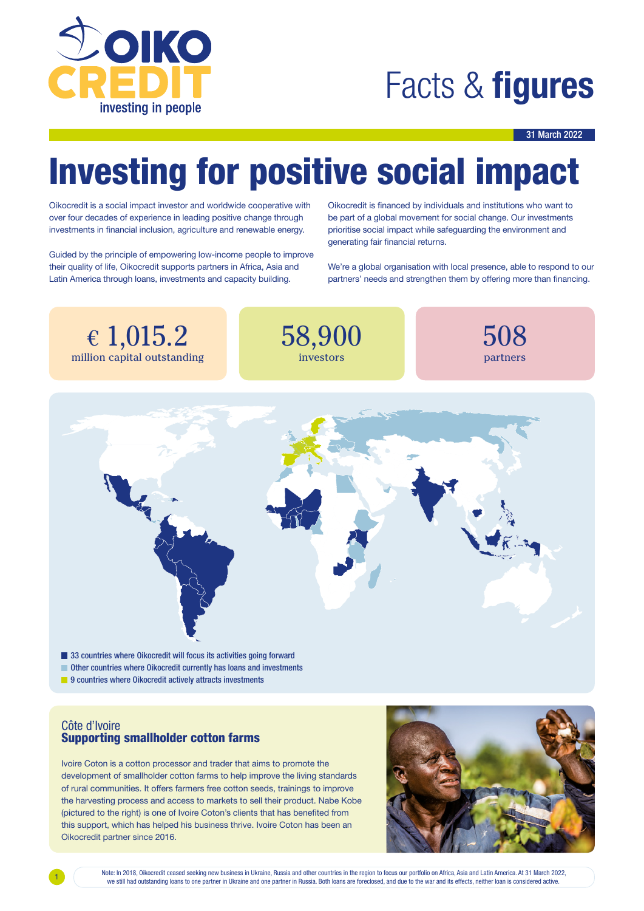

### Facts & **figures**

#### 31 March 2022

## Investing for positive social impact

Oikocredit is a social impact investor and worldwide cooperative with over four decades of experience in leading positive change through investments in financial inclusion, agriculture and renewable energy.

Guided by the principle of empowering low-income people to improve their quality of life, Oikocredit supports partners in Africa, Asia and Latin America through loans, investments and capacity building.

Oikocredit is financed by individuals and institutions who want to be part of a global movement for social change. Our investments prioritise social impact while safeguarding the environment and generating fair financial returns.

We're a global organisation with local presence, able to respond to our partners' needs and strengthen them by offering more than financing.

€ 1,015.2 million capital outstanding



508 partners



9 countries where Oikocredit actively attracts investments

### Côte d'Ivoire Supporting smallholder cotton farms

Ivoire Coton is a cotton processor and trader that aims to promote the development of smallholder cotton farms to help improve the living standards of rural communities. It offers farmers free cotton seeds, trainings to improve the harvesting process and access to markets to sell their product. Nabe Kobe (pictured to the right) is one of Ivoire Coton's clients that has benefited from this support, which has helped his business thrive. Ivoire Coton has been an Oikocredit partner since 2016.

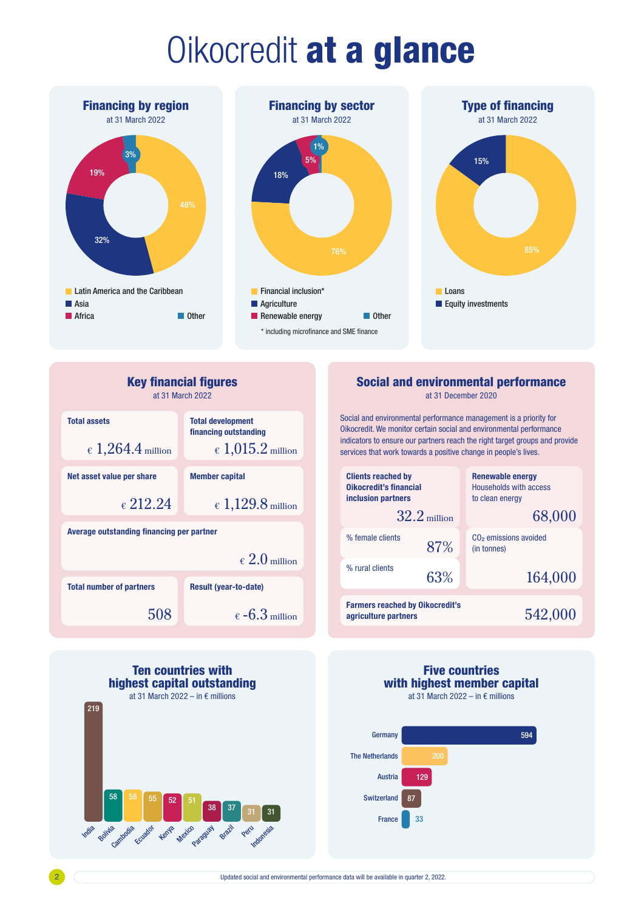# Oikocredit at a glance







Renewable energy Households with access to clean energy

 $CO<sub>2</sub>$  emissions avoided

68,000

(in tonnes)